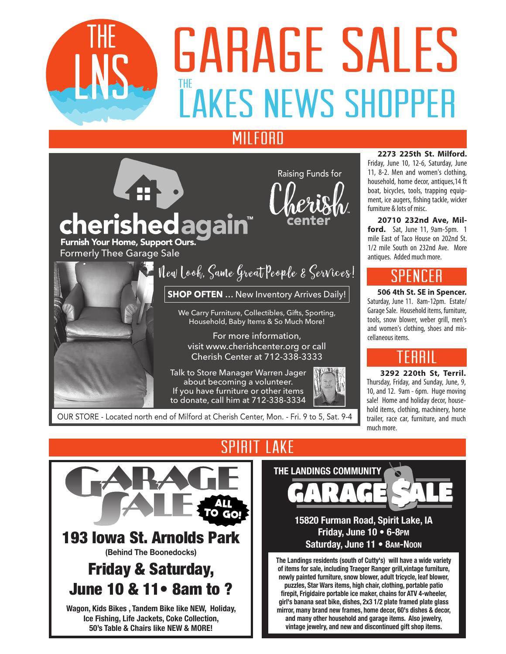

# **DAITADL JALLJ<br>LAKES NEWS SHOPPER**  $\frac{1}{1}$ GARAGE SALES

### **MILFORD**



If you have furniture or other items to donate, call him at 712-338-3334



OUR STORE - Located north end of Milford at Cherish Center, Mon. - Fri. 9 to 5, Sat. 9-4

#### **2273 225th St. Milford.**

Friday, June 10, 12-6, Saturday, June 11, 8-2. Men and women's clothing, household, home decor, antiques,14 ft boat, bicycles, tools, trapping equipment, ice augers, fishing tackle, wicker furniture & lots of misc.

**20710 232nd Ave, Milford.** Sat, June 11, 9am-5pm. 1 mile East of Taco House on 202nd St. 1/2 mile South on 232nd Ave. More antiques. Added much more.

# Spencer

**506 4th St. SE in Spencer.**  Saturday, June 11. 8am-12pm. Estate/ Garage Sale. Household items, furniture, tools, snow blower, weber grill, men's and women's clothing, shoes and miscellaneous items.

# Terril

 **3292 220th St, Terril.**  Thursday, Friday, and Sunday, June, 9, 10, and 12. 9am - 6pm. Huge moving sale! Home and holiday decor, household items, clothing, machinery, horse trailer, race car, furniture, and much much more.



# SPIRIT LAKE



#### **15820 Furman Road, Spirit Lake, IA Friday, June 10 • 6-8pm Saturday, June 11 • 8am-Noon**

**The Landings residents (south of Cutty's) will have a wide variety of items for sale, including Traeger Ranger grill,vintage furniture, newly painted furniture, snow blower, adult tricycle, leaf blower, puzzles, Star Wars items, high chair, clothing, portable patio firepit, Frigidaire portable ice maker, chains for ATV 4-wheeler, girl's banana seat bike, dishes, 2x3 1/2 plate framed plate glass mirror, many brand new frames, home decor, 60's dishes & decor, and many other household and garage items. Also jewelry, vintage jewelry, and new and discontinued gift shop items.**